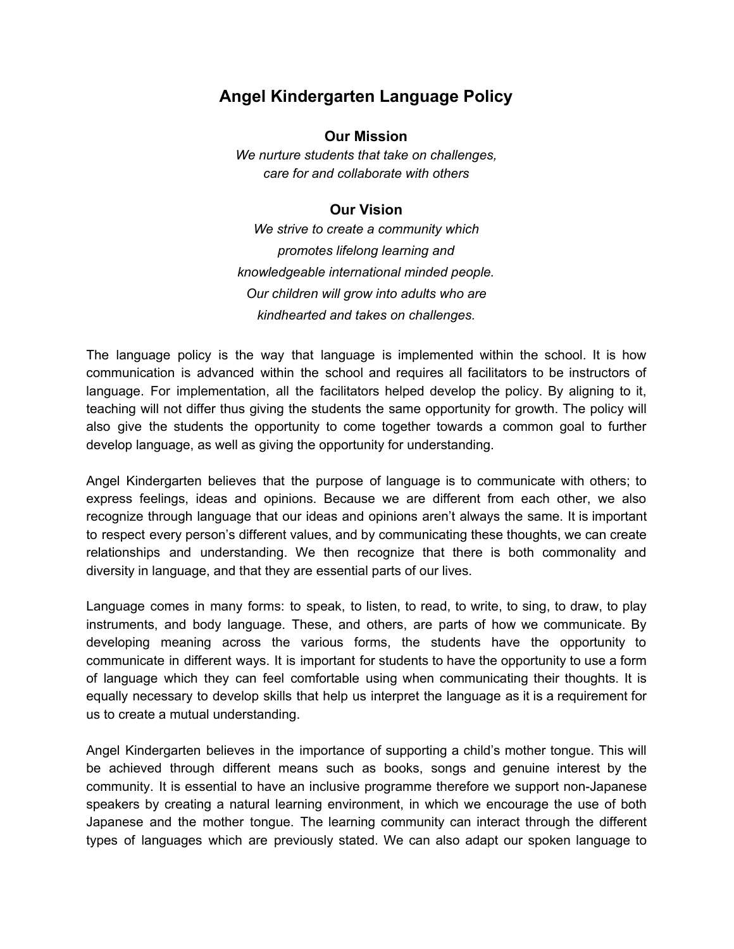## **Angel Kindergarten Language Policy**

## **Our Mission**

*We nurture students that take on challenges, care for and collaborate with others*

## **Our Vision**

*We strive to create a community which promotes lifelong learning and knowledgeable international minded people. Our children will grow into adults who are kindhearted and takes on challenges.*

The language policy is the way that language is implemented within the school. It is how communication is advanced within the school and requires all facilitators to be instructors of language. For implementation, all the facilitators helped develop the policy. By aligning to it, teaching will not differ thus giving the students the same opportunity for growth. The policy will also give the students the opportunity to come together towards a common goal to further develop language, as well as giving the opportunity for understanding.

Angel Kindergarten believes that the purpose of language is to communicate with others; to express feelings, ideas and opinions. Because we are different from each other, we also recognize through language that our ideas and opinions aren't always the same. It is important to respect every person's different values, and by communicating these thoughts, we can create relationships and understanding. We then recognize that there is both commonality and diversity in language, and that they are essential parts of our lives.

Language comes in many forms: to speak, to listen, to read, to write, to sing, to draw, to play instruments, and body language. These, and others, are parts of how we communicate. By developing meaning across the various forms, the students have the opportunity to communicate in different ways. It is important for students to have the opportunity to use a form of language which they can feel comfortable using when communicating their thoughts. It is equally necessary to develop skills that help us interpret the language as it is a requirement for us to create a mutual understanding.

Angel Kindergarten believes in the importance of supporting a child's mother tongue. This will be achieved through different means such as books, songs and genuine interest by the community. It is essential to have an inclusive programme therefore we support non-Japanese speakers by creating a natural learning environment, in which we encourage the use of both Japanese and the mother tongue. The learning community can interact through the different types of languages which are previously stated. We can also adapt our spoken language to